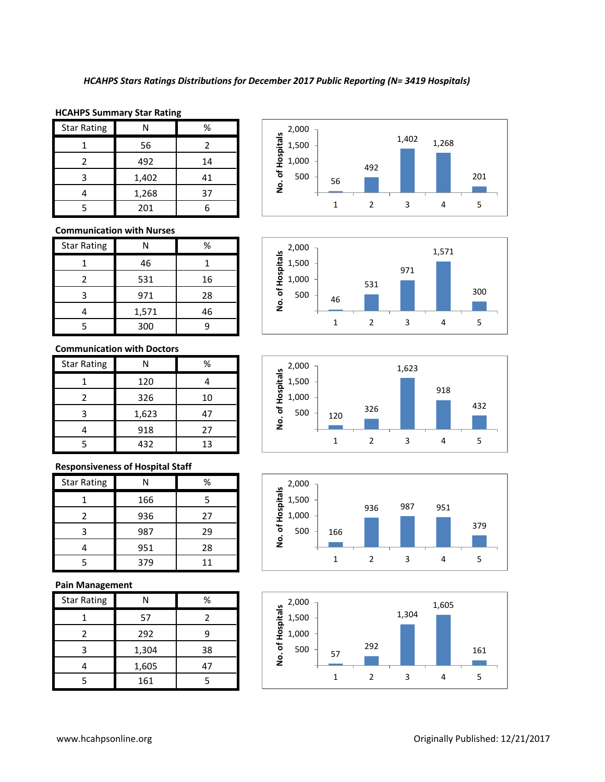## **HCAHPS Summary Star Rating**

| <b>Star Rating</b> | N     | %  |
|--------------------|-------|----|
|                    | 56    |    |
| 2                  | 492   | 14 |
| ς                  | 1,402 | 41 |
|                    | 1,268 | 37 |
|                    | 201   |    |

# **Communication with Nurses**

| <b>Star Rating</b> | N     | %  |
|--------------------|-------|----|
|                    | 46    |    |
| 2                  | 531   | 16 |
| 3                  | 971   | 28 |
|                    | 1,571 | 46 |
|                    | 300   |    |

### **Communication with Doctors**

| <b>Star Rating</b> | N     | %  |
|--------------------|-------|----|
|                    | 120   |    |
| 2                  | 326   | 10 |
| 3                  | 1,623 | 47 |
|                    | 918   | 27 |
|                    | 432   | 13 |

# **Responsiveness of Hospital Staff**

| <b>Star Rating</b> | N   | %  |
|--------------------|-----|----|
|                    | 166 | 5  |
|                    | 936 | 27 |
| ╕                  | 987 | 29 |
|                    | 951 | 28 |
|                    | 379 | 11 |

## **Pain Management**

| <b>Star Rating</b> | NI    | %  |
|--------------------|-------|----|
|                    | 57    | 7  |
|                    | 292   | q  |
| ੨                  | 1,304 | 38 |
|                    | 1,605 | 47 |
|                    | 161   |    |









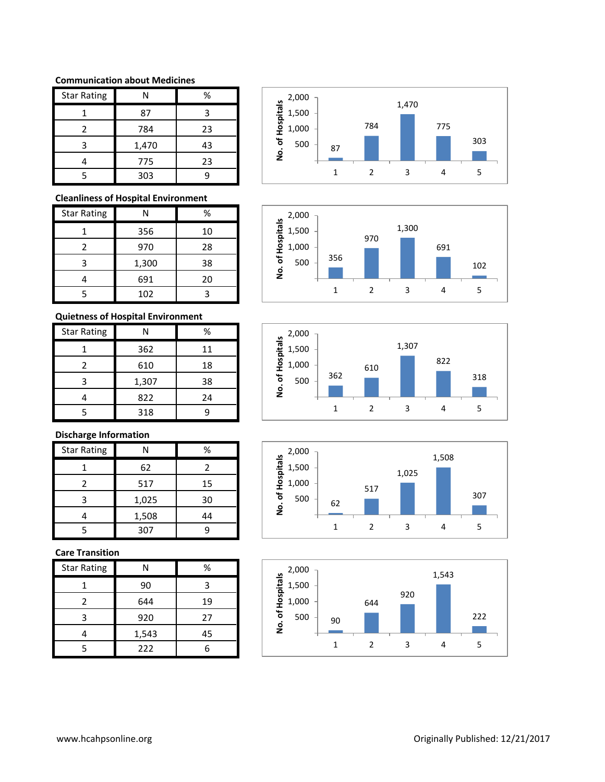## **Communication about Medicines**

| <b>Star Rating</b> | Ν     | %  |
|--------------------|-------|----|
|                    | 87    |    |
| 2                  | 784   | 23 |
| 3                  | 1,470 | 43 |
|                    | 775   | 23 |
|                    | 303   |    |

## **Cleanliness of Hospital Environment**

| <b>Star Rating</b> | Ν     | ℅  |
|--------------------|-------|----|
|                    | 356   | 10 |
|                    | 970   | 28 |
| 3                  | 1,300 | 38 |
|                    | 691   | 20 |
|                    | 102   |    |

# **Quietness of Hospital Environment**

| <b>Star Rating</b> |       | %  |
|--------------------|-------|----|
|                    | 362   | 11 |
| 2                  | 610   | 18 |
| 3                  | 1,307 | 38 |
|                    | 822   | 24 |
|                    | 318   |    |

# **Discharge Information**

| <b>Star Rating</b> | Ν     | %  |
|--------------------|-------|----|
|                    | 62    | 2  |
| 2                  | 517   | 15 |
|                    | 1,025 | 30 |
|                    | 1,508 | 44 |
|                    | 307   | q  |

# **Care Transition**

| <b>Star Rating</b> | Ν     | %  |
|--------------------|-------|----|
|                    | 90    | ੨  |
| 2                  | 644   | 19 |
| 3                  | 920   | 27 |
|                    | 1,543 | 45 |
|                    | 222   |    |